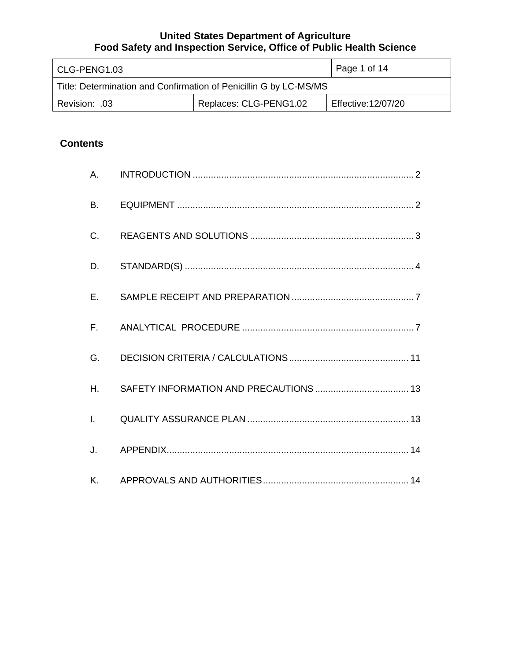| CLG-PENG1.03                                                      | Page 1 of 14 |                    |
|-------------------------------------------------------------------|--------------|--------------------|
| Title: Determination and Confirmation of Penicillin G by LC-MS/MS |              |                    |
| Replaces: CLG-PENG1.02<br>Revision: .03                           |              | Effective:12/07/20 |

# **Contents**

| A.             |  |
|----------------|--|
| <b>B.</b>      |  |
| C.             |  |
| D.             |  |
| $E_{\rm{r}}$   |  |
| $F_{\rm{H}}$   |  |
| G.             |  |
| H <sub>r</sub> |  |
| $L = -1$       |  |
| J.             |  |
| K.             |  |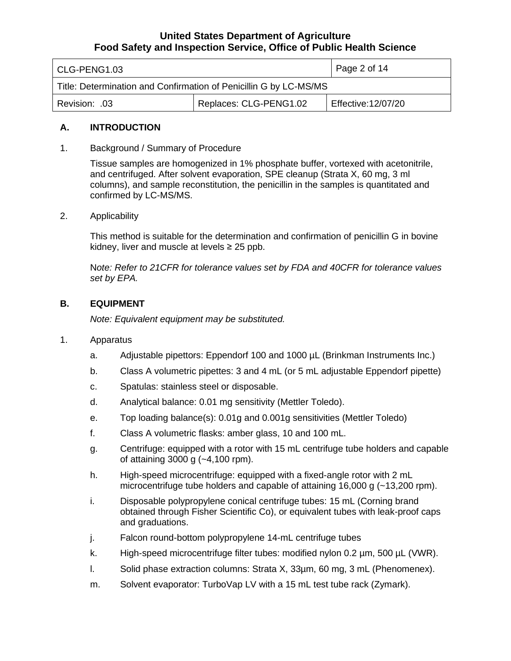| l CLG-PENG1.03                                                    | Page 2 of 14 |                    |
|-------------------------------------------------------------------|--------------|--------------------|
| Title: Determination and Confirmation of Penicillin G by LC-MS/MS |              |                    |
| Replaces: CLG-PENG1.02<br>Revision: .03                           |              | Effective:12/07/20 |

#### **A. INTRODUCTION**

1. Background / Summary of Procedure

 Tissue samples are homogenized in 1% phosphate buffer, vortexed with acetonitrile, and centrifuged. After solvent evaporation, SPE cleanup (Strata X, 60 mg, 3 ml columns), and sample reconstitution, the penicillin in the samples is quantitated and confirmed by LC-MS/MS.

2. Applicability

 kidney, liver and muscle at levels ≥ 25 ppb. This method is suitable for the determination and confirmation of penicillin G in bovine

 N*ote: Refer to 21CFR for tolerance values set by FDA and 40CFR for tolerance values set by EPA.* 

#### **B. EQUIPMENT**

 *Note: Equivalent equipment may be substituted.* 

- 1. Apparatus
	- a. Adjustable pipettors: Eppendorf 100 and 1000 µL (Brinkman Instruments Inc.)
	- b. Class A volumetric pipettes: 3 and 4 mL (or 5 mL adjustable Eppendorf pipette)
	- c. Spatulas: stainless steel or disposable.
	- d. Analytical balance: 0.01 mg sensitivity (Mettler Toledo).
	- e. Top loading balance(s): 0.01g and 0.001g sensitivities (Mettler Toledo)
	- f. Class A volumetric flasks: amber glass, 10 and 100 mL.
	- g. Centrifuge: equipped with a rotor with 15 mL centrifuge tube holders and capable of attaining 3000 g (~4,100 rpm).
	- h. High-speed microcentrifuge: equipped with a fixed-angle rotor with 2 mL microcentrifuge tube holders and capable of attaining 16,000 g (~13,200 rpm).
	- i. Disposable polypropylene conical centrifuge tubes: 15 mL (Corning brand obtained through Fisher Scientific Co), or equivalent tubes with leak-proof caps and graduations.
	- j. Falcon round-bottom polypropylene 14-mL centrifuge tubes
	- k. High-speed microcentrifuge filter tubes: modified nylon 0.2 µm, 500 µL (VWR).
	- l. Solid phase extraction columns: Strata X, 33µm, 60 mg, 3 mL (Phenomenex).
	- m. Solvent evaporator: TurboVap LV with a 15 mL test tube rack (Zymark).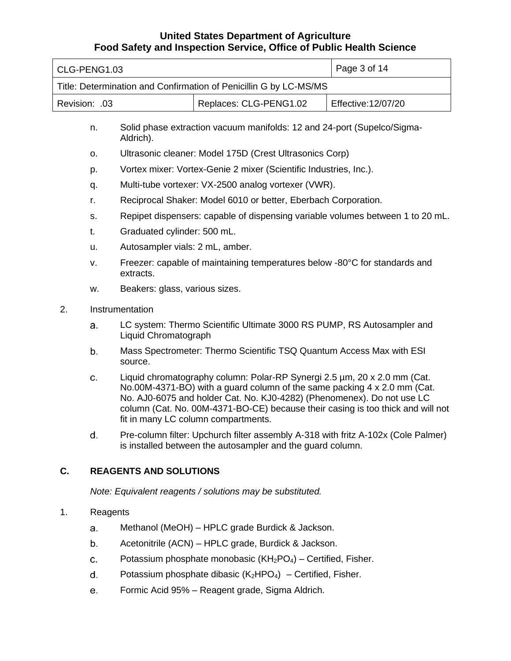| CLG-PENG1.03                                                      |                 |                                                                                                                                                                                                                                                                                                                                                          |                                                                                                                                                 | Page 3 of 14        |
|-------------------------------------------------------------------|-----------------|----------------------------------------------------------------------------------------------------------------------------------------------------------------------------------------------------------------------------------------------------------------------------------------------------------------------------------------------------------|-------------------------------------------------------------------------------------------------------------------------------------------------|---------------------|
| Title: Determination and Confirmation of Penicillin G by LC-MS/MS |                 |                                                                                                                                                                                                                                                                                                                                                          |                                                                                                                                                 |                     |
| Revision: .03                                                     |                 |                                                                                                                                                                                                                                                                                                                                                          | Replaces: CLG-PENG1.02                                                                                                                          | Effective: 12/07/20 |
|                                                                   | n.              | Aldrich).                                                                                                                                                                                                                                                                                                                                                | Solid phase extraction vacuum manifolds: 12 and 24-port (Supelco/Sigma-                                                                         |                     |
|                                                                   | О.              |                                                                                                                                                                                                                                                                                                                                                          | Ultrasonic cleaner: Model 175D (Crest Ultrasonics Corp)                                                                                         |                     |
|                                                                   | p.              |                                                                                                                                                                                                                                                                                                                                                          | Vortex mixer: Vortex-Genie 2 mixer (Scientific Industries, Inc.).                                                                               |                     |
|                                                                   | q.              |                                                                                                                                                                                                                                                                                                                                                          | Multi-tube vortexer: VX-2500 analog vortexer (VWR).                                                                                             |                     |
|                                                                   | r.              |                                                                                                                                                                                                                                                                                                                                                          | Reciprocal Shaker: Model 6010 or better, Eberbach Corporation.                                                                                  |                     |
|                                                                   | S.              |                                                                                                                                                                                                                                                                                                                                                          | Repipet dispensers: capable of dispensing variable volumes between 1 to 20 mL.                                                                  |                     |
|                                                                   | t.              | Graduated cylinder: 500 mL.                                                                                                                                                                                                                                                                                                                              |                                                                                                                                                 |                     |
|                                                                   | u.              | Autosampler vials: 2 mL, amber.                                                                                                                                                                                                                                                                                                                          |                                                                                                                                                 |                     |
|                                                                   | v.              | Freezer: capable of maintaining temperatures below -80°C for standards and<br>extracts.                                                                                                                                                                                                                                                                  |                                                                                                                                                 |                     |
|                                                                   | w.              | Beakers: glass, various sizes.                                                                                                                                                                                                                                                                                                                           |                                                                                                                                                 |                     |
| 2.                                                                | Instrumentation |                                                                                                                                                                                                                                                                                                                                                          |                                                                                                                                                 |                     |
|                                                                   | a.              | Liquid Chromatograph                                                                                                                                                                                                                                                                                                                                     | LC system: Thermo Scientific Ultimate 3000 RS PUMP, RS Autosampler and                                                                          |                     |
|                                                                   | b.              | Mass Spectrometer: Thermo Scientific TSQ Quantum Access Max with ESI<br>source.                                                                                                                                                                                                                                                                          |                                                                                                                                                 |                     |
|                                                                   | c.              | Liquid chromatography column: Polar-RP Synergi 2.5 µm, 20 x 2.0 mm (Cat.<br>No.00M-4371-BO) with a guard column of the same packing 4 x 2.0 mm (Cat.<br>No. AJ0-6075 and holder Cat. No. KJ0-4282) (Phenomenex). Do not use LC<br>column (Cat. No. 00M-4371-BO-CE) because their casing is too thick and will not<br>fit in many LC column compartments. |                                                                                                                                                 |                     |
|                                                                   | d.              |                                                                                                                                                                                                                                                                                                                                                          | Pre-column filter: Upchurch filter assembly A-318 with fritz A-102x (Cole Palmer)<br>is installed between the autosampler and the guard column. |                     |
| C.<br><b>REAGENTS AND SOLUTIONS</b>                               |                 |                                                                                                                                                                                                                                                                                                                                                          |                                                                                                                                                 |                     |
| Note: Equivalent reagents / solutions may be substituted.         |                 |                                                                                                                                                                                                                                                                                                                                                          |                                                                                                                                                 |                     |
| 1.                                                                | Reagents        |                                                                                                                                                                                                                                                                                                                                                          |                                                                                                                                                 |                     |
|                                                                   | а.              |                                                                                                                                                                                                                                                                                                                                                          | Methanol (MeOH) - HPLC grade Burdick & Jackson.                                                                                                 |                     |

- Acetonitrile (ACN) HPLC grade, Burdick & Jackson. b.
- Potassium phosphate monobasic  $(KH_2PO_4)$  Certified, Fisher. C.
- Potassium phosphate dibasic  $(K_2HPO_4)$  Certified, Fisher. d.
- Formic Acid 95% Reagent grade, Sigma Aldrich. e.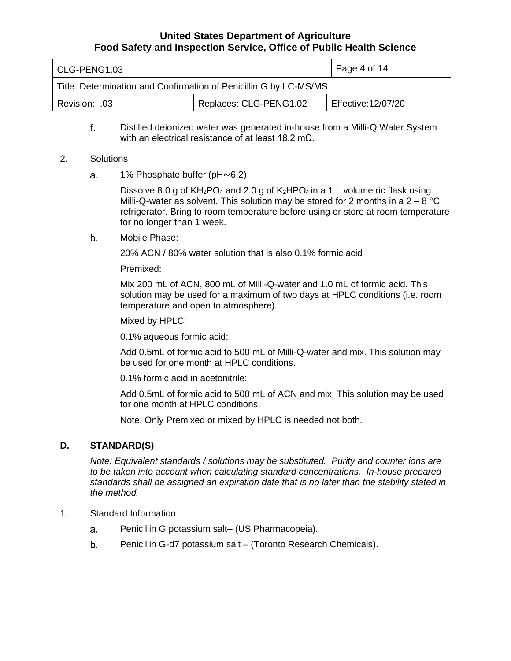| CLG-PENG1.03                                                      | $\vert$ Page 4 of 14 |                    |
|-------------------------------------------------------------------|----------------------|--------------------|
| Title: Determination and Confirmation of Penicillin G by LC-MS/MS |                      |                    |
| Replaces: CLG-PENG1.02<br>Revision: .03                           |                      | Effective:12/07/20 |

 Distilled deionized water was generated in-house from a Milli-Q Water System with an electrical resistance of at least 18.2 mΩ. f.

#### 2. Solutions

a. 1% Phosphate buffer (pH~6.2)

> Dissolve 8.0 g of  $KH_2PO_4$  and 2.0 g of  $K_2HPO_4$  in a 1 L volumetric flask using Milli-Q-water as solvent. This solution may be stored for 2 months in a  $2-8$  °C refrigerator. Bring to room temperature before using or store at room temperature for no longer than 1 week.

b. Mobile Phase:

20% ACN / 80% water solution that is also 0.1% formic acid

Premixed:

 Mix 200 mL of ACN, 800 mL of Milli-Q-water and 1.0 mL of formic acid. This solution may be used for a maximum of two days at HPLC conditions (i.e. room temperature and open to atmosphere).

Mixed by HPLC:

0.1% aqueous formic acid:

 Add 0.5mL of formic acid to 500 mL of Milli-Q-water and mix. This solution may be used for one month at HPLC conditions.

0.1% formic acid in acetonitrile:

 Add 0.5mL of formic acid to 500 mL of ACN and mix. This solution may be used for one month at HPLC conditions.

Note: Only Premixed or mixed by HPLC is needed not both.

# **D. STANDARD(S)**

 *Note: Equivalent standards / solutions may be substituted. Purity and counter ions are to be taken into account when calculating standard concentrations. In-house prepared standards shall be assigned an expiration date that is no later than the stability stated in the method.* 

- 1. Standard Information
	- Penicillin G potassium salt– (US Pharmacopeia). a.
	- Penicillin G-d7 potassium salt (Toronto Research Chemicals). b.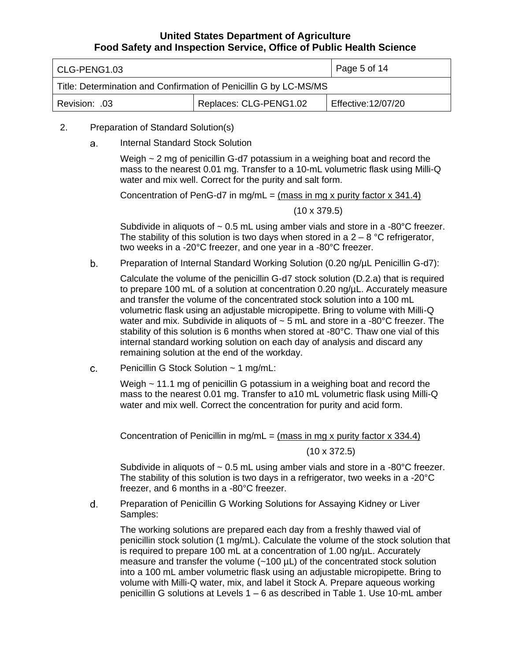| CLG-PENG1.03                                                      | Page 5 of 14 |                    |
|-------------------------------------------------------------------|--------------|--------------------|
| Title: Determination and Confirmation of Penicillin G by LC-MS/MS |              |                    |
| Replaces: CLG-PENG1.02<br>.03. :Revision                          |              | Effective:12/07/20 |

- 2. Preparation of Standard Solution(s)
	- a. Internal Standard Stock Solution

 Weigh ~ 2 mg of penicillin G-d7 potassium in a weighing boat and record the mass to the nearest 0.01 mg. Transfer to a 10-mL volumetric flask using Milli-Q water and mix well. Correct for the purity and salt form.

Concentration of PenG-d7 in mg/mL =  $(mass in mg x$  purity factor  $x$  341.4)

#### (10 x 379.5)

Subdivide in aliquots of  $\sim 0.5$  mL using amber vials and store in a -80°C freezer. The stability of this solution is two days when stored in a  $2-8$  °C refrigerator, two weeks in a -20°C freezer, and one year in a -80°C freezer.

 Preparation of Internal Standard Working Solution (0.20 ng/µL Penicillin G-d7): b.

 Calculate the volume of the penicillin G-d7 stock solution (D.2.a) that is required to prepare 100 mL of a solution at concentration 0.20 ng/µL. Accurately measure and transfer the volume of the concentrated stock solution into a 100 mL volumetric flask using an adjustable micropipette. Bring to volume with Milli-Q water and mix. Subdivide in aliquots of  $\sim$  5 mL and store in a -80°C freezer. The stability of this solution is 6 months when stored at -80°C. Thaw one vial of this internal standard working solution on each day of analysis and discard any remaining solution at the end of the workday.

c. Penicillin G Stock Solution ~ 1 mg/mL:

> Weigh ~ 11.1 mg of penicillin G potassium in a weighing boat and record the mass to the nearest 0.01 mg. Transfer to a10 mL volumetric flask using Milli-Q water and mix well. Correct the concentration for purity and acid form.

Concentration of Penicillin in mg/mL =  $(mass in mg x$  purity factor x 334.4)

(10 x 372.5)

Subdivide in aliquots of  $\sim 0.5$  mL using amber vials and store in a -80°C freezer. The stability of this solution is two days in a refrigerator, two weeks in a -20°C freezer, and 6 months in a -80°C freezer.

 Preparation of Penicillin G Working Solutions for Assaying Kidney or Liver d. Samples:

 The working solutions are prepared each day from a freshly thawed vial of penicillin stock solution (1 mg/mL). Calculate the volume of the stock solution that is required to prepare 100 mL at a concentration of 1.00 ng/µL. Accurately measure and transfer the volume (~100 µL) of the concentrated stock solution into a 100 mL amber volumetric flask using an adjustable micropipette. Bring to volume with Milli-Q water, mix, and label it Stock A. Prepare aqueous working penicillin G solutions at Levels 1 – 6 as described in Table 1. Use 10-mL amber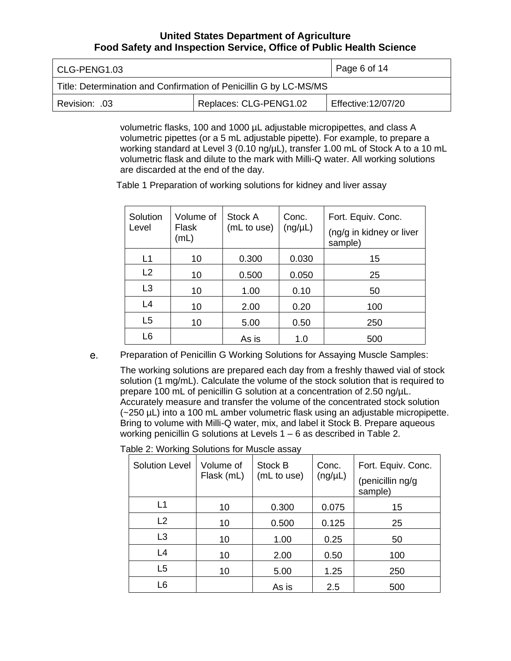| CLG-PENG1.03                                                      | Page 6 of 14 |                    |
|-------------------------------------------------------------------|--------------|--------------------|
| Title: Determination and Confirmation of Penicillin G by LC-MS/MS |              |                    |
| Replaces: CLG-PENG1.02<br>.03. :Revision                          |              | Effective:12/07/20 |

 volumetric flasks, 100 and 1000 µL adjustable micropipettes, and class A volumetric pipettes (or a 5 mL adjustable pipette). For example, to prepare a working standard at Level 3 (0.10 ng/µL), transfer 1.00 mL of Stock A to a 10 mL volumetric flask and dilute to the mark with Milli-Q water. All working solutions are discarded at the end of the day.

Table 1 Preparation of working solutions for kidney and liver assay

| Solution<br>Level | Volume of<br>Flask<br>(mL) | Stock A<br>(mL to use) | Conc.<br>$(ng/\mu L)$ | Fort. Equiv. Conc.<br>(ng/g in kidney or liver<br>sample) |
|-------------------|----------------------------|------------------------|-----------------------|-----------------------------------------------------------|
| L1                | 10                         | 0.300                  | 0.030                 | 15                                                        |
| L2                | 10                         | 0.500                  | 0.050                 | 25                                                        |
| L <sub>3</sub>    | 10                         | 1.00                   | 0.10                  | 50                                                        |
| L4                | 10                         | 2.00                   | 0.20                  | 100                                                       |
| L <sub>5</sub>    | 10                         | 5.00                   | 0.50                  | 250                                                       |
| L <sub>6</sub>    |                            | As is                  | 1.0                   | 500                                                       |

 Preparation of Penicillin G Working Solutions for Assaying Muscle Samples: e.

 The working solutions are prepared each day from a freshly thawed vial of stock solution (1 mg/mL). Calculate the volume of the stock solution that is required to prepare 100 mL of penicillin G solution at a concentration of 2.50 ng/µL. Accurately measure and transfer the volume of the concentrated stock solution (~250 µL) into a 100 mL amber volumetric flask using an adjustable micropipette. Bring to volume with Milli-Q water, mix, and label it Stock B. Prepare aqueous working penicillin G solutions at Levels 1 – 6 as described in Table 2.

| <b>Solution Level</b> | Volume of<br>Flask (mL) | Stock B<br>(mL to use) | Conc.<br>$(ng/\mu L)$ | Fort. Equiv. Conc.<br>(penicillin ng/g<br>sample) |
|-----------------------|-------------------------|------------------------|-----------------------|---------------------------------------------------|
| L1                    | 10                      | 0.300                  | 0.075                 | 15                                                |
| L <sub>2</sub>        | 10                      | 0.500                  | 0.125                 | 25                                                |
| L3                    | 10                      | 1.00                   | 0.25                  | 50                                                |
| L4                    | 10                      | 2.00                   | 0.50                  | 100                                               |
| L <sub>5</sub>        | 10                      | 5.00                   | 1.25                  | 250                                               |
| L <sub>6</sub>        |                         | As is                  | 2.5                   | 500                                               |

Table 2: Working Solutions for Muscle assay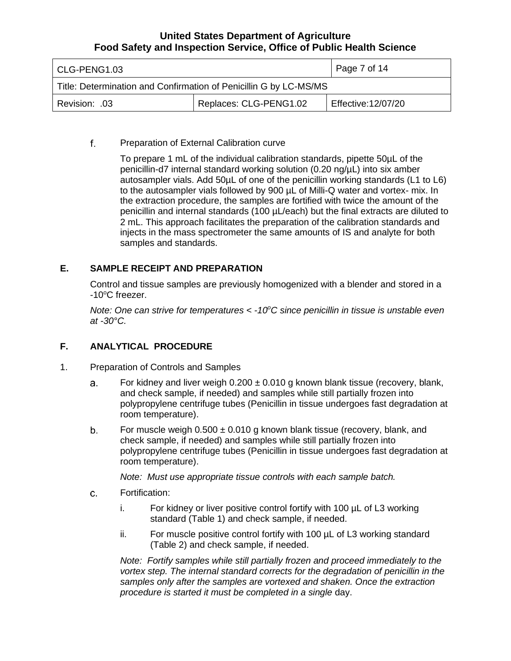| CLG-PENG1.03                                                      | Page 7 of 14 |                    |
|-------------------------------------------------------------------|--------------|--------------------|
| Title: Determination and Confirmation of Penicillin G by LC-MS/MS |              |                    |
| Replaces: CLG-PENG1.02<br>Revision: .03                           |              | Effective:12/07/20 |

#### Preparation of External Calibration curve f.

 To prepare 1 mL of the individual calibration standards, pipette 50µL of the penicillin-d7 internal standard working solution (0.20 ng/µL) into six amber autosampler vials. Add 50µL of one of the penicillin working standards (L1 to L6) to the autosampler vials followed by 900 µL of Milli-Q water and vortex- mix. In the extraction procedure, the samples are fortified with twice the amount of the penicillin and internal standards (100 µL/each) but the final extracts are diluted to 2 mL. This approach facilitates the preparation of the calibration standards and injects in the mass spectrometer the same amounts of IS and analyte for both samples and standards.

# **E. SAMPLE RECEIPT AND PREPARATION**

 Control and tissue samples are previously homogenized with a blender and stored in a -10°C freezer.

Note: One can strive for temperatures < -10°C since penicillin in tissue is unstable even *at -30°C.* 

#### **F. ANALYTICAL PROCEDURE**

- 1. Preparation of Controls and Samples
	- For kidney and liver weigh  $0.200 \pm 0.010$  g known blank tissue (recovery, blank, and check sample, if needed) and samples while still partially frozen into polypropylene centrifuge tubes (Penicillin in tissue undergoes fast degradation at a. room temperature).
	- For muscle weigh  $0.500 \pm 0.010$  g known blank tissue (recovery, blank, and check sample, if needed) and samples while still partially frozen into polypropylene centrifuge tubes (Penicillin in tissue undergoes fast degradation at b. room temperature).

 *Note: Must use appropriate tissue controls with each sample batch.* 

- C. Fortification:
	- i. For kidney or liver positive control fortify with 100 µL of L3 working standard (Table 1) and check sample, if needed.
	- ii. For muscle positive control fortify with 100 µL of L3 working standard (Table 2) and check sample, if needed.

 *Note: Fortify samples while still partially frozen and proceed immediately to the*  vortex step. The internal standard corrects for the degradation of penicillin in the samples only after the samples are vortexed and shaken. Once the extraction  *procedure is started it must be completed in a single* day.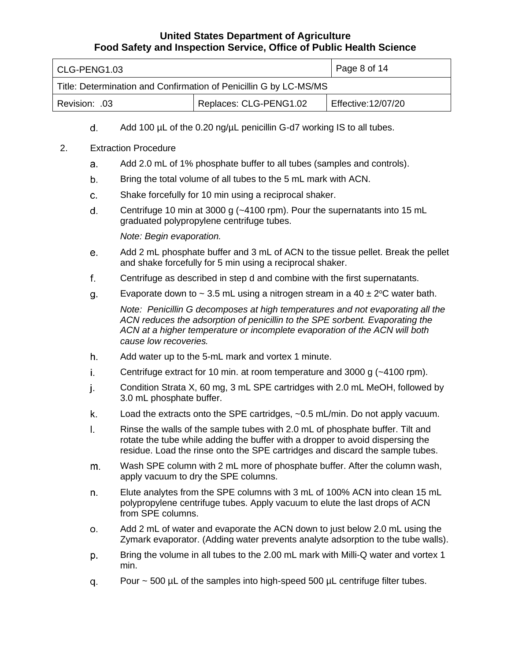| CLG-PENG1.03                                                      |  | Page 8 of 14       |  |
|-------------------------------------------------------------------|--|--------------------|--|
| Title: Determination and Confirmation of Penicillin G by LC-MS/MS |  |                    |  |
| Replaces: CLG-PENG1.02<br>Revision: 03                            |  | Effective:12/07/20 |  |

Add 100 µL of the 0.20 ng/µL penicillin G-d7 working IS to all tubes. d.

## 2. Extraction Procedure

- Add 2.0 mL of 1% phosphate buffer to all tubes (samples and controls). a.
- Bring the total volume of all tubes to the 5 mL mark with ACN. b.
- C. Shake forcefully for 10 min using a reciprocal shaker.
- Centrifuge 10 min at 3000 g (~4100 rpm). Pour the supernatants into 15 mL d. graduated polypropylene centrifuge tubes.

*Note: Begin evaporation.* 

- Add 2 mL phosphate buffer and 3 mL of ACN to the tissue pellet. Break the pellet e. and shake forcefully for 5 min using a reciprocal shaker.
- Centrifuge as described in step d and combine with the first supernatants. f.
- Evaporate down to  $\sim 3.5$  mL using a nitrogen stream in a 40  $\pm 2^{\circ}$ C water bath. g.

 *Note: Penicillin G decomposes at high temperatures and not evaporating all the ACN reduces the adsorption of penicillin to the SPE sorbent. Evaporating the ACN at a higher temperature or incomplete evaporation of the ACN will both cause low recoveries.* 

- Add water up to the 5-mL mark and vortex 1 minute. h.
- Centrifuge extract for 10 min. at room temperature and 3000 g (~4100 rpm). i.
- Condition Strata X, 60 mg, 3 mL SPE cartridges with 2.0 mL MeOH, followed by j. 3.0 mL phosphate buffer.
- Load the extracts onto the SPE cartridges, ~0.5 mL/min. Do not apply vacuum. k.
- Rinse the walls of the sample tubes with 2.0 mL of phosphate buffer. Tilt and rotate the tube while adding the buffer with a dropper to avoid dispersing the residue. Load the rinse onto the SPE cartridges and discard the sample tubes. I.
- Wash SPE column with 2 mL more of phosphate buffer. After the column wash, apply vacuum to dry the SPE columns. m.
- Elute analytes from the SPE columns with 3 mL of 100% ACN into clean 15 mL polypropylene centrifuge tubes. Apply vacuum to elute the last drops of ACN from SPE columns. n.
- Add 2 mL of water and evaporate the ACN down to just below 2.0 mL using the Zymark evaporator. (Adding water prevents analyte adsorption to the tube walls). 0 .
- Bring the volume in all tubes to the 2.00 mL mark with Milli-Q water and vortex 1 p. min.
- Pour ~ 500 µL of the samples into high-speed 500 µL centrifuge filter tubes. q.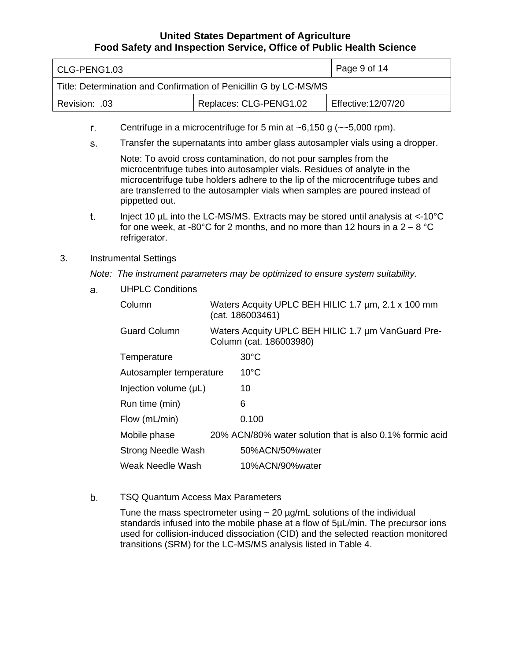| CLG-PENG1.03                                                      |  | Page 9 of 14       |
|-------------------------------------------------------------------|--|--------------------|
| Title: Determination and Confirmation of Penicillin G by LC-MS/MS |  |                    |
| Replaces: CLG-PENG1.02<br>  Revision: .03                         |  | Effective:12/07/20 |

- Centrifuge in a microcentrifuge for 5 min at  $\sim$  6,150 g ( $\sim$  -5,000 rpm). r.
- Transfer the supernatants into amber glass autosampler vials using a dropper. s.

 Note: To avoid cross contamination, do not pour samples from the microcentrifuge tubes into autosampler vials. Residues of analyte in the microcentrifuge tube holders adhere to the lip of the microcentrifuge tubes and are transferred to the autosampler vials when samples are poured instead of pippetted out.

- Inject 10 µL into the LC-MS/MS. Extracts may be stored until analysis at <-10°C for one week, at -80°C for 2 months, and no more than 12 hours in a 2 – 8 °C t. refrigerator.
- 3. Instrumental Settings

 *Note: The instrument parameters may be optimized to ensure system suitability.* 

a. UHPLC Conditions

| Column                    | (cat. 186003461)        | Waters Acquity UPLC BEH HILIC 1.7 µm, 2.1 x 100 mm       |
|---------------------------|-------------------------|----------------------------------------------------------|
| <b>Guard Column</b>       | Column (cat. 186003980) | Waters Acquity UPLC BEH HILIC 1.7 µm VanGuard Pre-       |
| Temperature               | $30^{\circ}$ C          |                                                          |
| Autosampler temperature   | $10^{\circ}$ C          |                                                          |
| Injection volume (µL)     | 10                      |                                                          |
| Run time (min)            | 6                       |                                                          |
| Flow (mL/min)             | 0.100                   |                                                          |
| Mobile phase              |                         | 20% ACN/80% water solution that is also 0.1% formic acid |
| <b>Strong Needle Wash</b> | 50%ACN/50%water         |                                                          |
| Weak Needle Wash          | 10%ACN/90%water         |                                                          |

 TSQ Quantum Access Max Parameters b.

> Tune the mass spectrometer using  $\sim$  20  $\mu$ g/mL solutions of the individual standards infused into the mobile phase at a flow of 5µL/min. The precursor ions used for collision-induced dissociation (CID) and the selected reaction monitored transitions (SRM) for the LC-MS/MS analysis listed in Table 4.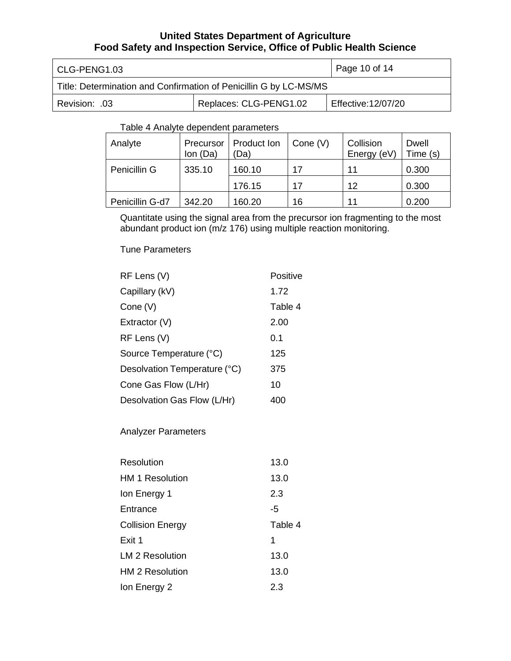| CLG-PENG1.03                                                      | Page 10 of 14 |  |
|-------------------------------------------------------------------|---------------|--|
| Title: Determination and Confirmation of Penicillin G by LC-MS/MS |               |  |
| Replaces: CLG-PENG1.02<br>Effective:12/07/20<br>.03. :Revision    |               |  |

# Table 4 Analyte dependent parameters

| Analyte         | Precursor<br>Ion (Da) | Product Ion<br>(Da) | Cone $(V)$ | Collision<br>Energy (eV) | Dwell<br>Time (s) |
|-----------------|-----------------------|---------------------|------------|--------------------------|-------------------|
| Penicillin G    | 335.10                | 160.10              | 17         | 11                       | 0.300             |
|                 |                       | 176.15              | 17         | 12                       | 0.300             |
| Penicillin G-d7 | 342.20                | 160.20              | 16         | 11                       | 0.200             |

 Quantitate using the signal area from the precursor ion fragmenting to the most abundant product ion (m/z 176) using multiple reaction monitoring.

Tune Parameters

| RF Lens (V)                  | Positive |
|------------------------------|----------|
| Capillary (kV)               | 1.72     |
| Cone (V)                     | Table 4  |
| Extractor (V)                | 2.00     |
| RF Lens (V)                  | 0.1      |
| Source Temperature (°C)      | 125      |
| Desolvation Temperature (°C) | 375      |
| Cone Gas Flow (L/Hr)         | 10       |
| Desolvation Gas Flow (L/Hr)  | 400      |

Analyzer Parameters

| Resolution              | 13.0    |
|-------------------------|---------|
| <b>HM 1 Resolution</b>  | 13.0    |
| Ion Energy 1            | 2.3     |
| Entrance                | -5      |
| <b>Collision Energy</b> | Table 4 |
| Exit 1                  | 1       |
| LM 2 Resolution         | 13.0    |
| <b>HM 2 Resolution</b>  | 13.0    |
| Ion Energy 2            | 2.3     |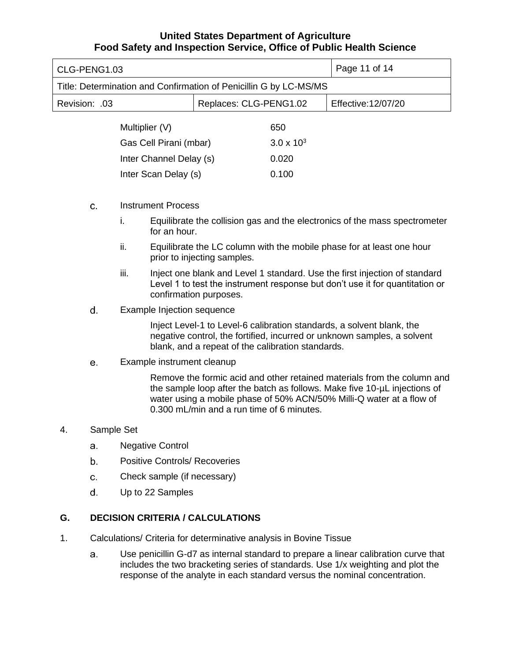| CLG-PENG1.03                                                      |                        | Page 11 of 14       |
|-------------------------------------------------------------------|------------------------|---------------------|
| Title: Determination and Confirmation of Penicillin G by LC-MS/MS |                        |                     |
| Revision: .03                                                     | Replaces: CLG-PENG1.02 | Effective: 12/07/20 |
| Multiplier (V)                                                    | 650                    |                     |
| Gas Cell Pirani (mbar)                                            | $3.0 \times 10^{3}$    |                     |
| Inter Channel Delay (s)                                           | 0.020                  |                     |
| Inter Scan Delay (s)                                              | 0.100                  |                     |

- **C.**  Instrument Process
	- i. Equilibrate the collision gas and the electronics of the mass spectrometer for an hour.
	- ii. Equilibrate the LC column with the mobile phase for at least one hour prior to injecting samples.
	- iii. Inject one blank and Level 1 standard. Use the first injection of standard Level 1 to test the instrument response but don't use it for quantitation or confirmation purposes.
- d. Example Injection sequence

 Inject Level-1 to Level-6 calibration standards, a solvent blank, the negative control, the fortified, incurred or unknown samples, a solvent blank, and a repeat of the calibration standards.

#### e. Example instrument cleanup

 Remove the formic acid and other retained materials from the column and the sample loop after the batch as follows. Make five 10-µL injections of water using a mobile phase of 50% ACN/50% Milli-Q water at a flow of 0.300 mL/min and a run time of 6 minutes.

#### 4. Sample Set

- a. Negative Control
- b. Positive Controls/ Recoveries
- **C.**  Check sample (if necessary)
- d. Up to 22 Samples

#### **G. DECISION CRITERIA / CALCULATIONS**

- 1. Calculations/ Criteria for determinative analysis in Bovine Tissue
	- Use penicillin G-d7 as internal standard to prepare a linear calibration curve that includes the two bracketing series of standards. Use 1/x weighting and plot the response of the analyte in each standard versus the nominal concentration. a.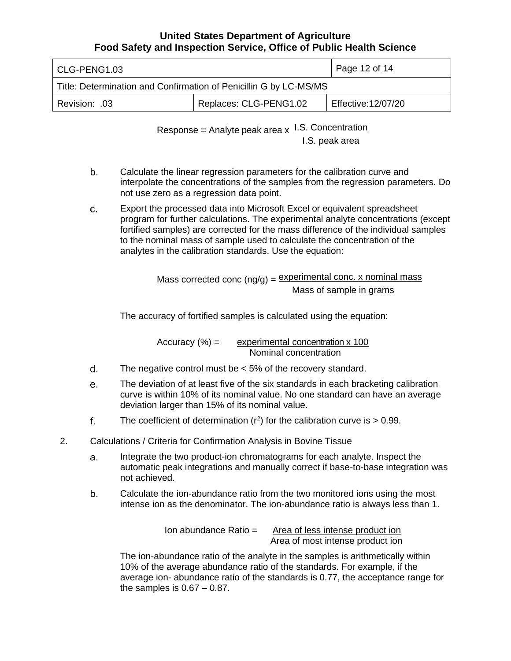| CLG-PENG1.03                                                      | Page 12 of 14          |                    |
|-------------------------------------------------------------------|------------------------|--------------------|
| Title: Determination and Confirmation of Penicillin G by LC-MS/MS |                        |                    |
| Revision: .03                                                     | Replaces: CLG-PENG1.02 | Effective:12/07/20 |

Response = Analyte peak area  $x$  I.S. Concentration I.S. peak area

- Calculate the linear regression parameters for the calibration curve and interpolate the concentrations of the samples from the regression parameters. Do not use zero as a regression data point. b.
- Export the processed data into Microsoft Excel or equivalent spreadsheet program for further calculations. The experimental analyte concentrations (except fortified samples) are corrected for the mass difference of the individual samples to the nominal mass of sample used to calculate the concentration of the analytes in the calibration standards. Use the equation: c.

Mass corrected conc (ng/g) = **experimental conc. x nominal mass** Mass of sample in grams

The accuracy of fortified samples is calculated using the equation:

 $Accuracy (%) =$ experimental concentration x 100 Nominal concentration

- The negative control must be < 5% of the recovery standard. d.
- The deviation of at least five of the six standards in each bracketing calibration curve is within 10% of its nominal value. No one standard can have an average deviation larger than 15% of its nominal value. e.
- The coefficient of determination  $(r^2)$  for the calibration curve is  $> 0.99$ . f.
- 2. Calculations / Criteria for Confirmation Analysis in Bovine Tissue
	- Integrate the two product-ion chromatograms for each analyte. Inspect the automatic peak integrations and manually correct if base-to-base integration was a. not achieved.
	- Calculate the ion-abundance ratio from the two monitored ions using the most intense ion as the denominator. The ion-abundance ratio is always less than 1. b.

 Area of most intense product ion Ion abundance Ratio = Area of less intense product ion

 The ion-abundance ratio of the analyte in the samples is arithmetically within 10% of the average abundance ratio of the standards. For example, if the average ion- abundance ratio of the standards is 0.77, the acceptance range for the samples is 0.67 – 0.87.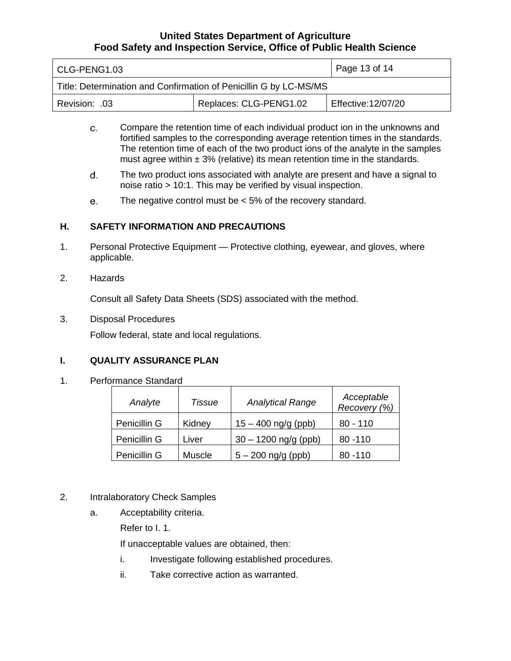| CLG-PENG1.03                                                      | Page 13 of $14$        |                    |
|-------------------------------------------------------------------|------------------------|--------------------|
| Title: Determination and Confirmation of Penicillin G by LC-MS/MS |                        |                    |
| .03. :Revision                                                    | Replaces: CLG-PENG1.02 | Effective:12/07/20 |

- Compare the retention time of each individual product ion in the unknowns and fortified samples to the corresponding average retention times in the standards. The retention time of each of the two product ions of the analyte in the samples must agree within  $\pm 3\%$  (relative) its mean retention time in the standards. c.
- The two product ions associated with analyte are present and have a signal to noise ratio > 10:1. This may be verified by visual inspection. d.
- The negative control must be < 5% of the recovery standard. e.

# **H. SAFETY INFORMATION AND PRECAUTIONS**

- 1. Personal Protective Equipment Protective clothing, eyewear, and gloves, where applicable.
- 2. Hazards

Consult all Safety Data Sheets (SDS) associated with the method.

3. Disposal Procedures

Follow federal, state and local regulations.

# **I. QUALITY ASSURANCE PLAN**

1. Performance Standard

| Analyte      | <b>Tissue</b> | <b>Analytical Range</b> | Acceptable<br>Recovery (%) |
|--------------|---------------|-------------------------|----------------------------|
| Penicillin G | Kidney        | $15 - 400$ ng/g (ppb)   | $80 - 110$                 |
| Penicillin G | Liver         | $30 - 1200$ ng/g (ppb)  | $80 - 110$                 |
| Penicillin G | Muscle        | $5 - 200$ ng/g (ppb)    | 80 - 110                   |

#### 2. Intralaboratory Check Samples

a. Acceptability criteria.

Refer to I. 1.

If unacceptable values are obtained, then:

- i. Investigate following established procedures.
- ii. Take corrective action as warranted.